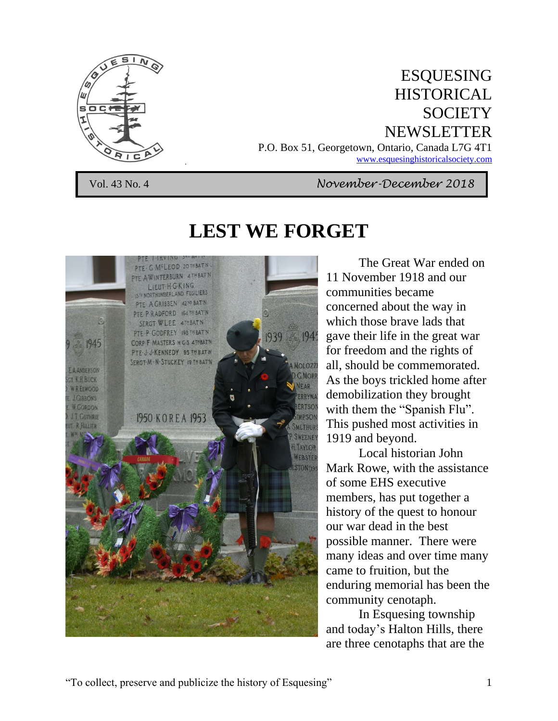

ESQUESING **HISTORICAL SOCIETY NEWSLETTER** P.O. Box 51, Georgetown, Ontario, Canada L7G 4T1 WW [www.esquesinghistoricalsociety.com](http://www.esquesinghistoricalsociety.com/)

#### Vol. 43 No. 4 *November-December 2018*



# **LEST WE FORGET**

The Great War ended on 11 November 1918 and our communities became concerned about the way in which those brave lads that gave their life in the great war for freedom and the rights of all, should be commemorated. As the boys trickled home after demobilization they brought with them the "Spanish Flu". This pushed most activities in 1919 and beyond.

Local historian John Mark Rowe, with the assistance of some EHS executive members, has put together a history of the quest to honour our war dead in the best possible manner. There were many ideas and over time many came to fruition, but the enduring memorial has been the community cenotaph.

In Esquesing township and today's Halton Hills, there are three cenotaphs that are the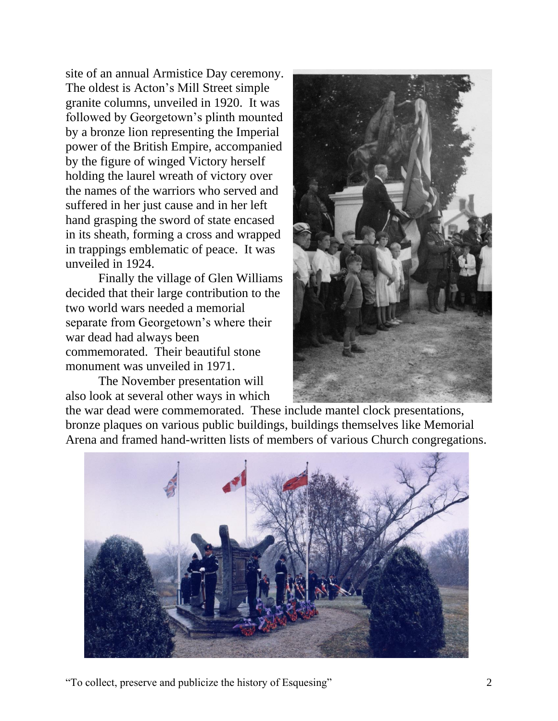site of an annual Armistice Day ceremony. The oldest is Acton's Mill Street simple granite columns, unveiled in 1920. It was followed by Georgetown's plinth mounted by a bronze lion representing the Imperial power of the British Empire, accompanied by the figure of winged Victory herself holding the laurel wreath of victory over the names of the warriors who served and suffered in her just cause and in her left hand grasping the sword of state encased in its sheath, forming a cross and wrapped in trappings emblematic of peace. It was unveiled in 1924.

Finally the village of Glen Williams decided that their large contribution to the two world wars needed a memorial separate from Georgetown's where their war dead had always been commemorated. Their beautiful stone monument was unveiled in 1971.

The November presentation will also look at several other ways in which

the war dead were commemorated. These include mantel clock presentations, bronze plaques on various public buildings, buildings themselves like Memorial Arena and framed hand-written lists of members of various Church congregations.





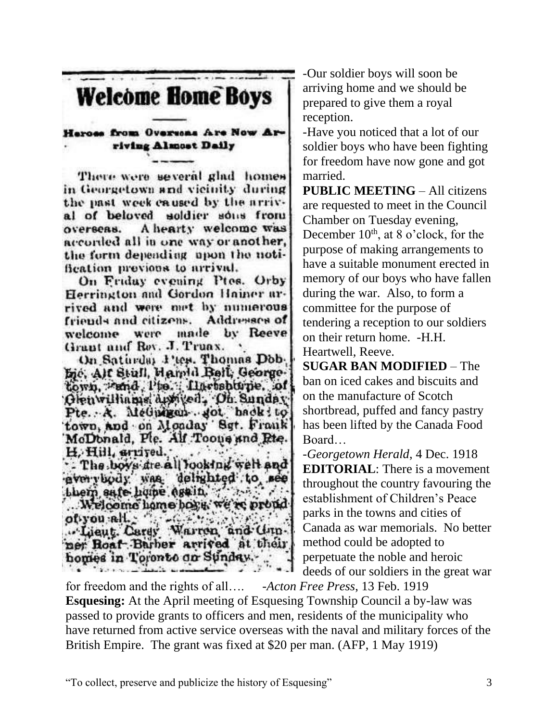

There were several glad homes in Georgetown and vicinity during the past week caused by the arrival of beloved soldier sons from overseas. A hearty welcome was accorded all in one way or another. the form depending upon the notification previous to arrival.

On Friday evening Ptes. Orby Herrington and Gordon Hainer arrived and were met by numerous friends and citizens. Addresses of by Reeve made welcome were Grant and Rev. J. Truax.

On Saturday Piers. Thomas Dobhic, Alt Stull, Hamid Bell, Georgetown, Pand, Pte. Ilastsburge, of Olenwilliams applied. On Sunday Pte. A. Medingan dot back to town, And on Monday Set. Frank McDonald, Ple. Alf Toons and Rie. H. Hill, arrived. - The boys are all looking well and everybody was delighted to see them safe home again. Welcome home boys, we're proud of you all. Lieut Carey Warren and Umner Roaf Barber arrived at their homes in Toronto on Sunday

-Our soldier boys will soon be arriving home and we should be prepared to give them a royal reception.

-Have you noticed that a lot of our soldier boys who have been fighting for freedom have now gone and got married.

**PUBLIC MEETING** – All citizens are requested to meet in the Council Chamber on Tuesday evening, December  $10<sup>th</sup>$ , at 8 o'clock, for the purpose of making arrangements to have a suitable monument erected in memory of our boys who have fallen during the war. Also, to form a committee for the purpose of tendering a reception to our soldiers on their return home. -H.H. Heartwell, Reeve.

**SUGAR BAN MODIFIED** – The ban on iced cakes and biscuits and on the manufacture of Scotch shortbread, puffed and fancy pastry has been lifted by the Canada Food Board…

*-Georgetown Herald*, 4 Dec. 1918 **EDITORIAL**: There is a movement throughout the country favouring the establishment of Children's Peace parks in the towns and cities of Canada as war memorials. No better method could be adopted to perpetuate the noble and heroic deeds of our soldiers in the great war

for freedom and the rights of all…. -*Acton Free Press*, 13 Feb. 1919 **Esquesing:** At the April meeting of Esquesing Township Council a by-law was passed to provide grants to officers and men, residents of the municipality who have returned from active service overseas with the naval and military forces of the British Empire. The grant was fixed at \$20 per man. (AFP, 1 May 1919)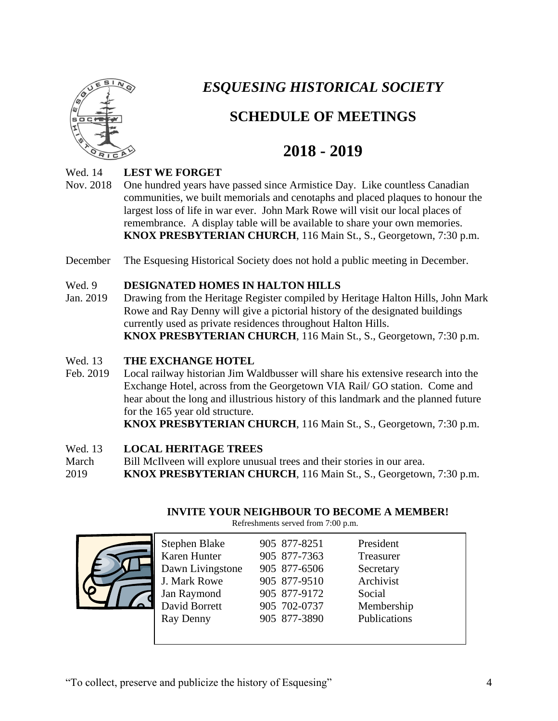

# *ESQUESING HISTORICAL SOCIETY*

### **SCHEDULE OF MEETINGS**

# **2018 - 2019**

#### Wed. 14 **LEST WE FORGET**

Nov. 2018 One hundred years have passed since Armistice Day. Like countless Canadian communities, we built memorials and cenotaphs and placed plaques to honour the largest loss of life in war ever. John Mark Rowe will visit our local places of remembrance. A display table will be available to share your own memories. **KNOX PRESBYTERIAN CHURCH**, 116 Main St., S., Georgetown, 7:30 p.m.

December The Esquesing Historical Society does not hold a public meeting in December.

#### Wed. 9 **DESIGNATED HOMES IN HALTON HILLS**

Jan. 2019 Drawing from the Heritage Register compiled by Heritage Halton Hills, John Mark Rowe and Ray Denny will give a pictorial history of the designated buildings currently used as private residences throughout Halton Hills. **KNOX PRESBYTERIAN CHURCH**, 116 Main St., S., Georgetown, 7:30 p.m.

#### Wed. 13 **THE EXCHANGE HOTEL**

Feb. 2019 Local railway historian Jim Waldbusser will share his extensive research into the Exchange Hotel, across from the Georgetown VIA Rail/ GO station. Come and hear about the long and illustrious history of this landmark and the planned future for the 165 year old structure.

**KNOX PRESBYTERIAN CHURCH**, 116 Main St., S., Georgetown, 7:30 p.m.

- Wed. 13 **LOCAL HERITAGE TREES**
- March Bill McIlveen will explore unusual trees and their stories in our area.
- 2019 **KNOX PRESBYTERIAN CHURCH**, 116 Main St., S., Georgetown, 7:30 p.m.

Refreshments served from 7:00 p.m.

| Stephen Blake    | 905 877-8251 | President    |  |
|------------------|--------------|--------------|--|
| Karen Hunter     | 905 877-7363 | Treasurer    |  |
| Dawn Livingstone | 905 877-6506 | Secretary    |  |
| J. Mark Rowe     | 905 877-9510 | Archivist    |  |
| Jan Raymond      | 905 877-9172 | Social       |  |
| David Borrett    | 905 702-0737 | Membership   |  |
| Ray Denny        | 905 877-3890 | Publications |  |
|                  |              |              |  |
|                  |              |              |  |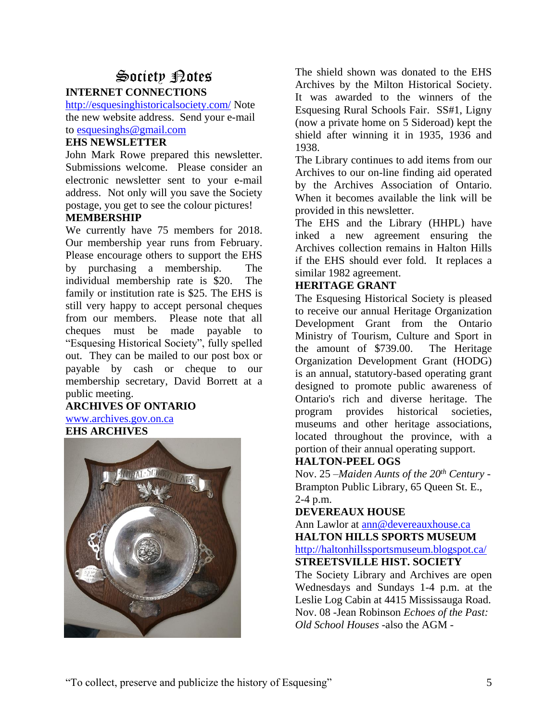### Society Notes **INTERNET CONNECTIONS**

<http://esquesinghistoricalsociety.com/> Note the new website address. Send your e-mail to [esquesinghs@gmail.com](mailto:esquesinghs@gmail.com)

#### **EHS NEWSLETTER**

John Mark Rowe prepared this newsletter. Submissions welcome. Please consider an electronic newsletter sent to your e-mail address. Not only will you save the Society postage, you get to see the colour pictures!

#### **MEMBERSHIP**

We currently have 75 members for 2018. Our membership year runs from February. Please encourage others to support the EHS by purchasing a membership. The individual membership rate is \$20. The family or institution rate is \$25. The EHS is still very happy to accept personal cheques from our members. Please note that all cheques must be made payable to "Esquesing Historical Society", fully spelled out. They can be mailed to our post box or payable by cash or cheque to our membership secretary, David Borrett at a public meeting.

#### **ARCHIVES OF ONTARIO**

#### [www.archives.gov.on.ca](http://www.archives.gov.on.ca/) **EHS ARCHIVES**



The shield shown was donated to the EHS Archives by the Milton Historical Society. It was awarded to the winners of the Esquesing Rural Schools Fair. SS#1, Ligny (now a private home on 5 Sideroad) kept the shield after winning it in 1935, 1936 and 1938.

The Library continues to add items from our Archives to our on-line finding aid operated by the Archives Association of Ontario. When it becomes available the link will be provided in this newsletter.

The EHS and the Library (HHPL) have inked a new agreement ensuring the Archives collection remains in Halton Hills if the EHS should ever fold. It replaces a similar 1982 agreement.

#### **HERITAGE GRANT**

The Esquesing Historical Society is pleased to receive our annual Heritage Organization Development Grant from the Ontario Ministry of Tourism, Culture and Sport in the amount of \$739.00. The Heritage Organization Development Grant (HODG) is an annual, statutory-based operating grant designed to promote public awareness of Ontario's rich and diverse heritage. The program provides historical societies, museums and other heritage associations, located throughout the province, with a portion of their annual operating support.

#### **HALTON-PEEL OGS**

Nov. 25 –*Maiden Aunts of the 20th Century* - Brampton Public Library, 65 Queen St. E., 2-4 p.m.

#### **DEVEREAUX HOUSE**

Ann Lawlor at [ann@devereauxhouse.ca](mailto:ann@devereauxhouse.ca) **HALTON HILLS SPORTS MUSEUM** <http://haltonhillssportsmuseum.blogspot.ca/>

### **STREETSVILLE HIST. SOCIETY**

The Society Library and Archives are open Wednesdays and Sundays 1-4 p.m. at the Leslie Log Cabin at 4415 Mississauga Road. Nov. 08 -Jean Robinson *Echoes of the Past: Old School Houses* -also the AGM -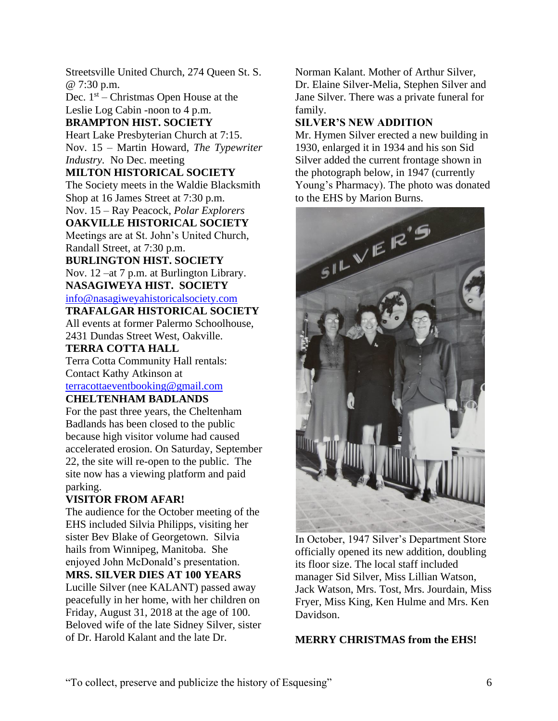Streetsville United Church, 274 Queen St. S. @ 7:30 p.m.

Dec.  $1<sup>st</sup>$  – Christmas Open House at the Leslie Log Cabin -noon to 4 p.m.

#### **BRAMPTON HIST. SOCIETY**

Heart Lake Presbyterian Church at 7:15. Nov. 15 – Martin Howard, *The Typewriter Industry.* No Dec. meeting

#### **MILTON HISTORICAL SOCIETY**

The Society meets in the Waldie Blacksmith Shop at 16 James Street at 7:30 p.m. Nov. 15 – Ray Peacock, *Polar Explorers*

**OAKVILLE HISTORICAL SOCIETY** Meetings are at St. John's United Church,

#### Randall Street, at 7:30 p.m. **BURLINGTON HIST. SOCIETY**

Nov. 12 –at 7 p.m. at Burlington Library. **NASAGIWEYA HIST. SOCIETY**

### [info@nasagiweyahistoricalsociety.com](mailto:info@nasagiweyahistoricalsociety.com)

**TRAFALGAR HISTORICAL SOCIETY** All events at former Palermo Schoolhouse, 2431 Dundas Street West, Oakville.

#### **TERRA COTTA HALL**

Terra Cotta Community Hall rentals: Contact Kathy Atkinson at

[terracottaeventbooking@gmail.com](mailto:terracottaeventbooking@gmail.com)

#### **CHELTENHAM BADLANDS**

For the past three years, the Cheltenham Badlands has been closed to the public because high visitor volume had caused accelerated erosion. On Saturday, September 22, the site will re-open to the public. The site now has a viewing platform and paid parking.

#### **VISITOR FROM AFAR!**

The audience for the October meeting of the EHS included Silvia Philipps, visiting her sister Bev Blake of Georgetown. Silvia hails from Winnipeg, Manitoba. She enjoyed John McDonald's presentation. **MRS. SILVER DIES AT 100 YEARS** Lucille Silver (nee KALANT) passed away peacefully in her home, with her children on

Friday, August 31, 2018 at the age of 100. Beloved wife of the late Sidney Silver, sister of Dr. Harold Kalant and the late Dr.

Norman Kalant. Mother of Arthur Silver, Dr. Elaine Silver-Melia, Stephen Silver and Jane Silver. There was a private funeral for family.

#### **SILVER'S NEW ADDITION**

Mr. Hymen Silver erected a new building in 1930, enlarged it in 1934 and his son Sid Silver added the current frontage shown in the photograph below, in 1947 (currently Young's Pharmacy). The photo was donated to the EHS by Marion Burns.



In October, 1947 Silver's Department Store officially opened its new addition, doubling its floor size. The local staff included manager Sid Silver, Miss Lillian Watson, Jack Watson, Mrs. Tost, Mrs. Jourdain, Miss Fryer, Miss King, Ken Hulme and Mrs. Ken Davidson.

#### **MERRY CHRISTMAS from the EHS!**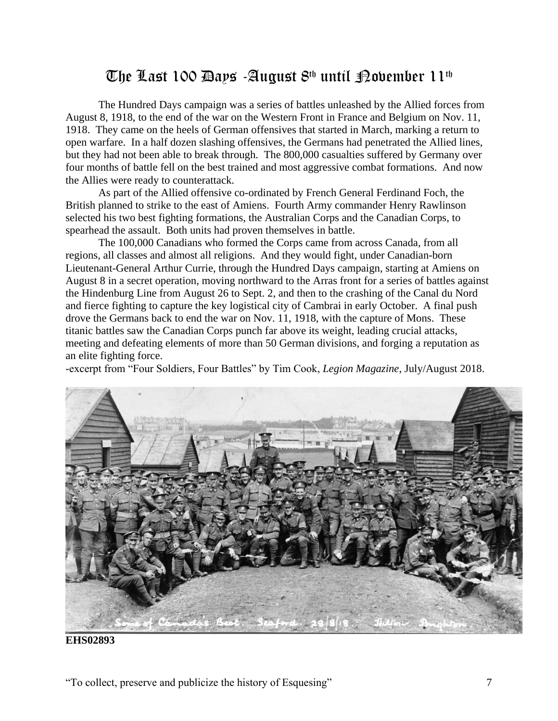### The Last 100 Days -August 8th until Bobember  $11^\mathrm{th}$

The Hundred Days campaign was a series of battles unleashed by the Allied forces from August 8, 1918, to the end of the war on the Western Front in France and Belgium on Nov. 11, 1918. They came on the heels of German offensives that started in March, marking a return to open warfare. In a half dozen slashing offensives, the Germans had penetrated the Allied lines, but they had not been able to break through. The 800,000 casualties suffered by Germany over four months of battle fell on the best trained and most aggressive combat formations. And now the Allies were ready to counterattack.

As part of the Allied offensive co-ordinated by French General Ferdinand Foch, the British planned to strike to the east of Amiens. Fourth Army commander Henry Rawlinson selected his two best fighting formations, the Australian Corps and the Canadian Corps, to spearhead the assault. Both units had proven themselves in battle.

The 100,000 Canadians who formed the Corps came from across Canada, from all regions, all classes and almost all religions. And they would fight, under Canadian-born Lieutenant-General Arthur Currie, through the Hundred Days campaign, starting at Amiens on August 8 in a secret operation, moving northward to the Arras front for a series of battles against the Hindenburg Line from August 26 to Sept. 2, and then to the crashing of the Canal du Nord and fierce fighting to capture the key logistical city of Cambrai in early October. A final push drove the Germans back to end the war on Nov. 11, 1918, with the capture of Mons. These titanic battles saw the Canadian Corps punch far above its weight, leading crucial attacks, meeting and defeating elements of more than 50 German divisions, and forging a reputation as an elite fighting force.

-excerpt from "Four Soldiers, Four Battles" by Tim Cook, *Legion Magazine*, July/August 2018.



#### **EHS02893**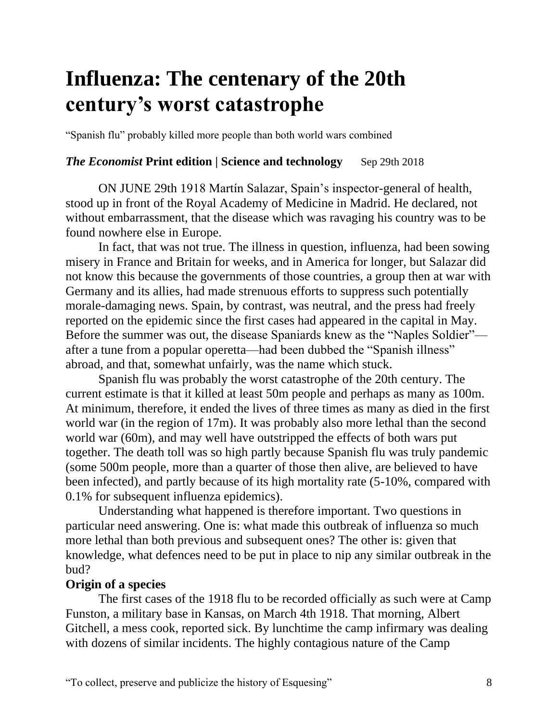# **Influenza: The centenary of the 20th century's worst catastrophe**

"Spanish flu" probably killed more people than both world wars combined

### *The Economist* **Print edition | Science and technology Sep 29th 2018**

ON JUNE 29th 1918 Martín Salazar, Spain's inspector-general of health, stood up in front of the Royal Academy of Medicine in Madrid. He declared, not without embarrassment, that the disease which was ravaging his country was to be found nowhere else in Europe.

In fact, that was not true. The illness in question, influenza, had been sowing misery in France and Britain for weeks, and in America for longer, but Salazar did not know this because the governments of those countries, a group then at war with Germany and its allies, had made strenuous efforts to suppress such potentially morale-damaging news. Spain, by contrast, was neutral, and the press had freely reported on the epidemic since the first cases had appeared in the capital in May. Before the summer was out, the disease Spaniards knew as the "Naples Soldier" after a tune from a popular operetta—had been dubbed the "Spanish illness" abroad, and that, somewhat unfairly, was the name which stuck.

Spanish flu was probably the worst catastrophe of the 20th century. The current estimate is that it killed at least 50m people and perhaps as many as 100m. At minimum, therefore, it ended the lives of three times as many as died in the first world war (in the region of 17m). It was probably also more lethal than the second world war (60m), and may well have outstripped the effects of both wars put together. The death toll was so high partly because Spanish flu was truly pandemic (some 500m people, more than a quarter of those then alive, are believed to have been infected), and partly because of its high mortality rate (5-10%, compared with 0.1% for subsequent influenza epidemics).

Understanding what happened is therefore important. Two questions in particular need answering. One is: what made this outbreak of influenza so much more lethal than both previous and subsequent ones? The other is: given that knowledge, what defences need to be put in place to nip any similar outbreak in the bud?

### **Origin of a species**

The first cases of the 1918 flu to be recorded officially as such were at Camp Funston, a military base in Kansas, on March 4th 1918. That morning, Albert Gitchell, a mess cook, reported sick. By lunchtime the camp infirmary was dealing with dozens of similar incidents. The highly contagious nature of the Camp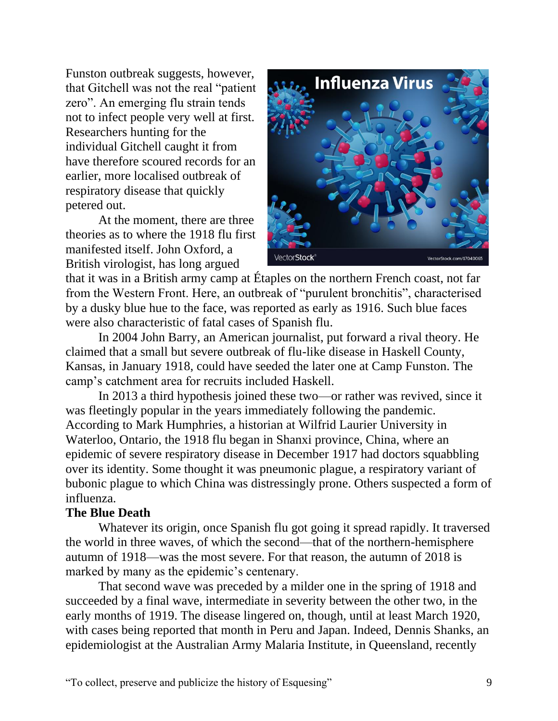Funston outbreak suggests, however, that Gitchell was not the real "patient zero". An emerging flu strain tends not to infect people very well at first. Researchers hunting for the individual Gitchell caught it from have therefore scoured records for an earlier, more localised outbreak of respiratory disease that quickly petered out.

At the moment, there are three theories as to where the 1918 flu first manifested itself. John Oxford, a British virologist, has long argued



that it was in a British army camp at Étaples on the northern French coast, not far from the Western Front. Here, an outbreak of "purulent bronchitis", characterised by a dusky blue hue to the face, was reported as early as 1916. Such blue faces were also characteristic of fatal cases of Spanish flu.

In 2004 John Barry, an American journalist, put forward a rival theory. He claimed that a small but severe outbreak of flu-like disease in Haskell County, Kansas, in January 1918, could have seeded the later one at Camp Funston. The camp's catchment area for recruits included Haskell.

In 2013 a third hypothesis joined these two—or rather was revived, since it was fleetingly popular in the years immediately following the pandemic. According to Mark Humphries, a historian at Wilfrid Laurier University in Waterloo, Ontario, the 1918 flu began in Shanxi province, China, where an epidemic of severe respiratory disease in December 1917 had doctors squabbling over its identity. Some thought it was pneumonic plague, a respiratory variant of bubonic plague to which China was distressingly prone. Others suspected a form of influenza.

### **The Blue Death**

Whatever its origin, once Spanish flu got going it spread rapidly. It traversed the world in three waves, of which the second—that of the northern-hemisphere autumn of 1918—was the most severe. For that reason, the autumn of 2018 is marked by many as the epidemic's centenary.

That second wave was preceded by a milder one in the spring of 1918 and succeeded by a final wave, intermediate in severity between the other two, in the early months of 1919. The disease lingered on, though, until at least March 1920, with cases being reported that month in Peru and Japan. Indeed, Dennis Shanks, an epidemiologist at the Australian Army Malaria Institute, in Queensland, recently